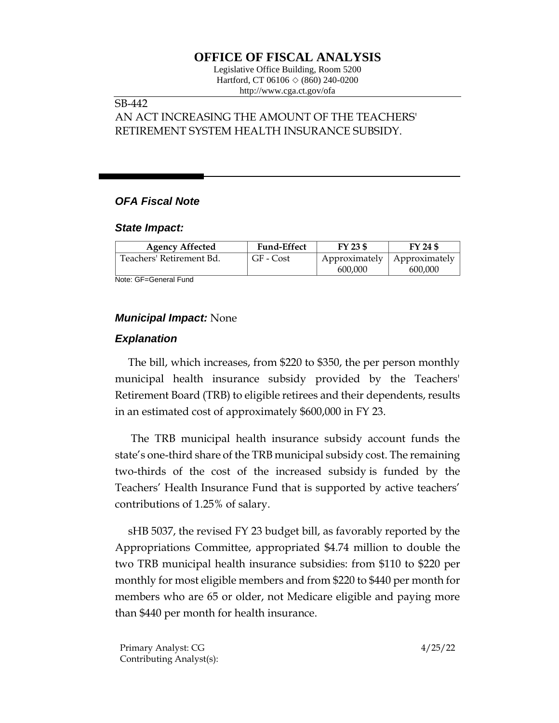# **OFFICE OF FISCAL ANALYSIS**

Legislative Office Building, Room 5200 Hartford, CT 06106  $\Diamond$  (860) 240-0200 http://www.cga.ct.gov/ofa

#### SB-442

AN ACT INCREASING THE AMOUNT OF THE TEACHERS' RETIREMENT SYSTEM HEALTH INSURANCE SUBSIDY.

## *OFA Fiscal Note*

#### *State Impact:*

| <b>Agency Affected</b>   | <b>Fund-Effect</b> | FY 23 \$ | FY 24 \$                              |
|--------------------------|--------------------|----------|---------------------------------------|
| Teachers' Retirement Bd. | GF - Cost          |          | Approximately   Approximately $\vert$ |
|                          |                    | 600,000  | 600,000                               |

Note: GF=General Fund

### *Municipal Impact:* None

### *Explanation*

The bill, which increases, from \$220 to \$350, the per person monthly municipal health insurance subsidy provided by the Teachers' Retirement Board (TRB) to eligible retirees and their dependents, results in an estimated cost of approximately \$600,000 in FY 23.

The TRB municipal health insurance subsidy account funds the state's one-third share of the TRB municipal subsidy cost. The remaining two-thirds of the cost of the increased subsidy is funded by the Teachers' Health Insurance Fund that is supported by active teachers' contributions of 1.25% of salary.

sHB 5037, the revised FY 23 budget bill, as favorably reported by the Appropriations Committee, appropriated \$4.74 million to double the two TRB municipal health insurance subsidies: from \$110 to \$220 per monthly for most eligible members and from \$220 to \$440 per month for members who are 65 or older, not Medicare eligible and paying more than \$440 per month for health insurance.